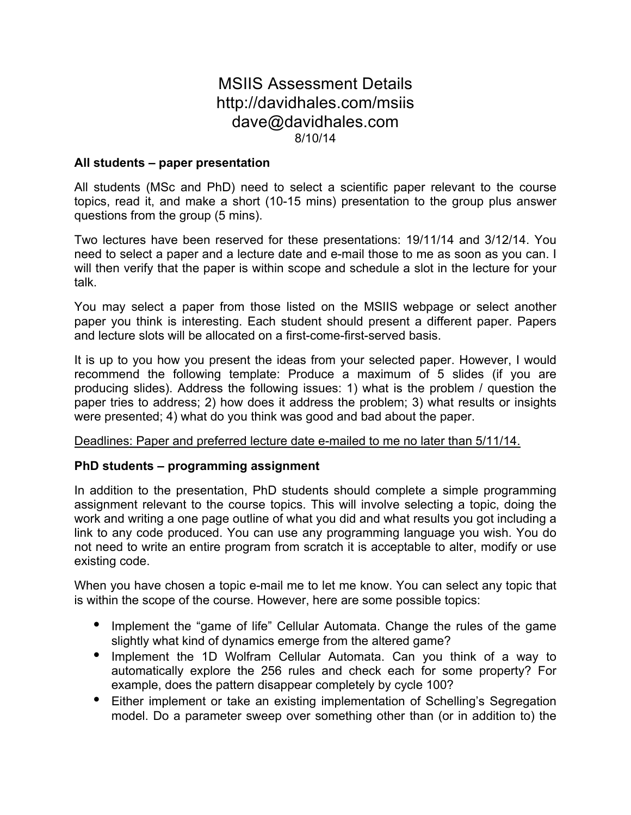## MSIIS Assessment Details http://davidhales.com/msiis dave@davidhales.com 8/10/14

## **All students – paper presentation**

All students (MSc and PhD) need to select a scientific paper relevant to the course topics, read it, and make a short (10-15 mins) presentation to the group plus answer questions from the group (5 mins).

Two lectures have been reserved for these presentations: 19/11/14 and 3/12/14. You need to select a paper and a lecture date and e-mail those to me as soon as you can. I will then verify that the paper is within scope and schedule a slot in the lecture for your talk.

You may select a paper from those listed on the MSIIS webpage or select another paper you think is interesting. Each student should present a different paper. Papers and lecture slots will be allocated on a first-come-first-served basis.

It is up to you how you present the ideas from your selected paper. However, I would recommend the following template: Produce a maximum of 5 slides (if you are producing slides). Address the following issues: 1) what is the problem / question the paper tries to address; 2) how does it address the problem; 3) what results or insights were presented; 4) what do you think was good and bad about the paper.

Deadlines: Paper and preferred lecture date e-mailed to me no later than 5/11/14.

## **PhD students – programming assignment**

In addition to the presentation, PhD students should complete a simple programming assignment relevant to the course topics. This will involve selecting a topic, doing the work and writing a one page outline of what you did and what results you got including a link to any code produced. You can use any programming language you wish. You do not need to write an entire program from scratch it is acceptable to alter, modify or use existing code.

When you have chosen a topic e-mail me to let me know. You can select any topic that is within the scope of the course. However, here are some possible topics:

- Implement the "game of life" Cellular Automata. Change the rules of the game slightly what kind of dynamics emerge from the altered game?
- Implement the 1D Wolfram Cellular Automata. Can you think of a way to automatically explore the 256 rules and check each for some property? For example, does the pattern disappear completely by cycle 100?
- Either implement or take an existing implementation of Schelling's Segregation model. Do a parameter sweep over something other than (or in addition to) the